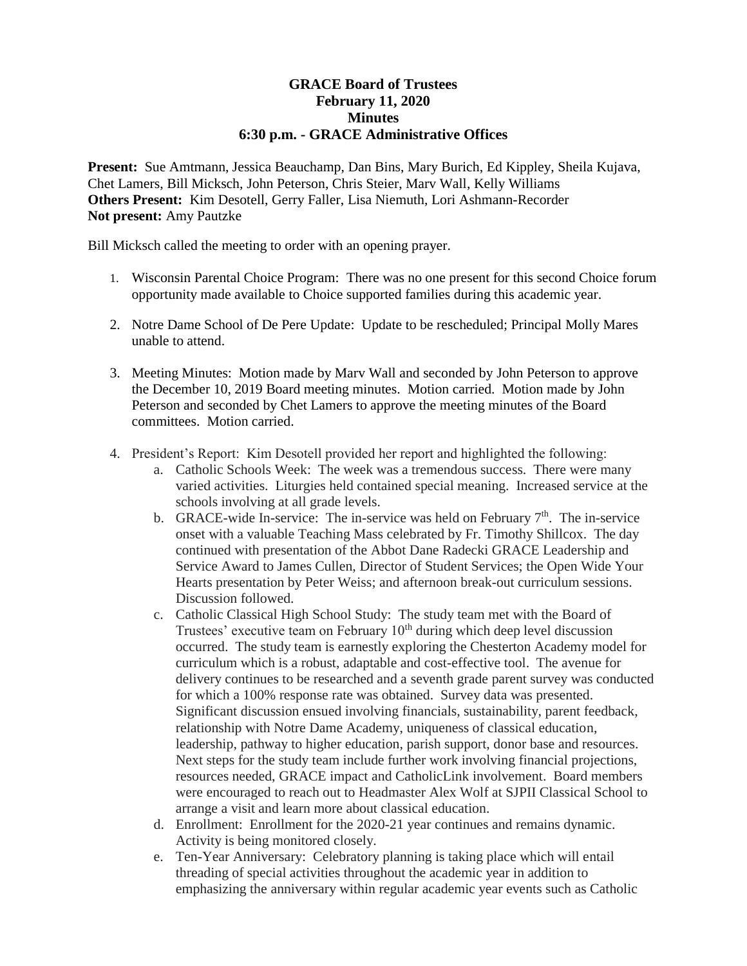## **GRACE Board of Trustees February 11, 2020 Minutes 6:30 p.m. - GRACE Administrative Offices**

**Present:** Sue Amtmann, Jessica Beauchamp, Dan Bins, Mary Burich, Ed Kippley, Sheila Kujava, Chet Lamers, Bill Micksch, John Peterson, Chris Steier, Marv Wall, Kelly Williams **Others Present:** Kim Desotell, Gerry Faller, Lisa Niemuth, Lori Ashmann-Recorder **Not present:** Amy Pautzke

Bill Micksch called the meeting to order with an opening prayer.

- 1. Wisconsin Parental Choice Program: There was no one present for this second Choice forum opportunity made available to Choice supported families during this academic year.
- 2. Notre Dame School of De Pere Update: Update to be rescheduled; Principal Molly Mares unable to attend.
- 3. Meeting Minutes: Motion made by Marv Wall and seconded by John Peterson to approve the December 10, 2019 Board meeting minutes. Motion carried. Motion made by John Peterson and seconded by Chet Lamers to approve the meeting minutes of the Board committees. Motion carried.
- 4. President's Report: Kim Desotell provided her report and highlighted the following:
	- a. Catholic Schools Week: The week was a tremendous success. There were many varied activities. Liturgies held contained special meaning. Increased service at the schools involving at all grade levels.
	- b. GRACE-wide In-service: The in-service was held on February  $7<sup>th</sup>$ . The in-service onset with a valuable Teaching Mass celebrated by Fr. Timothy Shillcox. The day continued with presentation of the Abbot Dane Radecki GRACE Leadership and Service Award to James Cullen, Director of Student Services; the Open Wide Your Hearts presentation by Peter Weiss; and afternoon break-out curriculum sessions. Discussion followed.
	- c. Catholic Classical High School Study: The study team met with the Board of Trustees' executive team on February  $10<sup>th</sup>$  during which deep level discussion occurred. The study team is earnestly exploring the Chesterton Academy model for curriculum which is a robust, adaptable and cost-effective tool. The avenue for delivery continues to be researched and a seventh grade parent survey was conducted for which a 100% response rate was obtained. Survey data was presented. Significant discussion ensued involving financials, sustainability, parent feedback, relationship with Notre Dame Academy, uniqueness of classical education, leadership, pathway to higher education, parish support, donor base and resources. Next steps for the study team include further work involving financial projections, resources needed, GRACE impact and CatholicLink involvement. Board members were encouraged to reach out to Headmaster Alex Wolf at SJPII Classical School to arrange a visit and learn more about classical education.
	- d. Enrollment: Enrollment for the 2020-21 year continues and remains dynamic. Activity is being monitored closely.
	- e. Ten-Year Anniversary: Celebratory planning is taking place which will entail threading of special activities throughout the academic year in addition to emphasizing the anniversary within regular academic year events such as Catholic